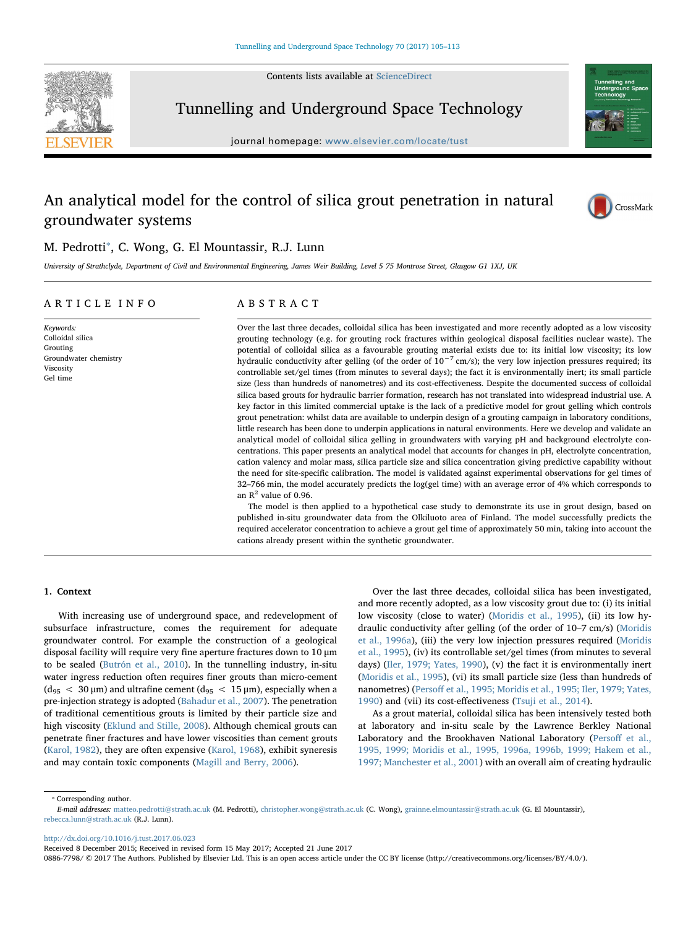Contents lists available at [ScienceDirect](http://www.sciencedirect.com/science/journal/08867798)



Tunnelling and Underground Space Technology

journal homepage: [www.elsevier.com/locate/tust](http://www.elsevier.com/locate/tust)

# An analytical model for the control of silica grout penetration in natural groundwater systems



## M. Pedrotti<sup>\*</sup>, C. Wong, G. El Mountassir, R.J. Lunn

University of Strathclyde, Department of Civil and Environmental Engineering, James Weir Building, Level 5 75 Montrose Street, Glasgow G1 1XJ, UK

## ARTICLE INFO

Keywords: Colloidal silica Grouting Groundwater chemistry Viscosity Gel time

## ABSTRACT

Over the last three decades, colloidal silica has been investigated and more recently adopted as a low viscosity grouting technology (e.g. for grouting rock fractures within geological disposal facilities nuclear waste). The potential of colloidal silica as a favourable grouting material exists due to: its initial low viscosity; its low hydraulic conductivity after gelling (of the order of  $10^{-7}$  cm/s); the very low injection pressures required; its controllable set/gel times (from minutes to several days); the fact it is environmentally inert; its small particle size (less than hundreds of nanometres) and its cost-effectiveness. Despite the documented success of colloidal silica based grouts for hydraulic barrier formation, research has not translated into widespread industrial use. A key factor in this limited commercial uptake is the lack of a predictive model for grout gelling which controls grout penetration: whilst data are available to underpin design of a grouting campaign in laboratory conditions, little research has been done to underpin applications in natural environments. Here we develop and validate an analytical model of colloidal silica gelling in groundwaters with varying pH and background electrolyte concentrations. This paper presents an analytical model that accounts for changes in pH, electrolyte concentration, cation valency and molar mass, silica particle size and silica concentration giving predictive capability without the need for site-specific calibration. The model is validated against experimental observations for gel times of 32–766 min, the model accurately predicts the log(gel time) with an average error of 4% which corresponds to an  $\mathbb{R}^2$  value of 0.96.

The model is then applied to a hypothetical case study to demonstrate its use in grout design, based on published in-situ groundwater data from the Olkiluoto area of Finland. The model successfully predicts the required accelerator concentration to achieve a grout gel time of approximately 50 min, taking into account the cations already present within the synthetic groundwater.

## 1. Context

With increasing use of underground space, and redevelopment of subsurface infrastructure, comes the requirement for adequate groundwater control. For example the construction of a geological disposal facility will require very fine aperture fractures down to 10 μm to be sealed [\(Butrón et al., 2010](#page-7-0)). In the tunnelling industry, in-situ water ingress reduction often requires finer grouts than micro-cement  $(d_{95} < 30 \,\mu m)$  and ultrafine cement  $(d_{95} < 15 \,\mu m)$ , especially when a pre-injection strategy is adopted [\(Bahadur et al., 2007\)](#page-7-1). The penetration of traditional cementitious grouts is limited by their particle size and high viscosity ([Eklund and Stille, 2008](#page-7-2)). Although chemical grouts can penetrate finer fractures and have lower viscosities than cement grouts ([Karol, 1982](#page-8-0)), they are often expensive [\(Karol, 1968\)](#page-8-1), exhibit syneresis and may contain toxic components ([Magill and Berry, 2006\)](#page-8-2).

Over the last three decades, colloidal silica has been investigated, and more recently adopted, as a low viscosity grout due to: (i) its initial low viscosity (close to water) [\(Moridis et al., 1995\)](#page-8-3), (ii) its low hydraulic conductivity after gelling (of the order of 10–7 cm/s) ([Moridis](#page-8-4) [et al., 1996a](#page-8-4)), (iii) the very low injection pressures required ([Moridis](#page-8-3) [et al., 1995\)](#page-8-3), (iv) its controllable set/gel times (from minutes to several days) [\(Iler, 1979; Yates, 1990](#page-7-3)), (v) the fact it is environmentally inert ([Moridis et al., 1995](#page-8-3)), (vi) its small particle size (less than hundreds of nanometres) (Persoff [et al., 1995; Moridis et al., 1995; Iler, 1979; Yates,](#page-8-5) [1990\)](#page-8-5) and (vii) its cost-effectiveness [\(Tsuji et al., 2014](#page-8-6)).

As a grout material, colloidal silica has been intensively tested both at laboratory and in-situ scale by the Lawrence Berkley National Laboratory and the Brookhaven National Laboratory (Persoff [et al.,](#page-8-5) [1995, 1999; Moridis et al., 1995, 1996a, 1996b, 1999; Hakem et al.,](#page-8-5) [1997; Manchester et al., 2001](#page-8-5)) with an overall aim of creating hydraulic

<span id="page-0-0"></span>⁎ Corresponding author.

<http://dx.doi.org/10.1016/j.tust.2017.06.023>

Received 8 December 2015; Received in revised form 15 May 2017; Accepted 21 June 2017

0886-7798/ © 2017 The Authors. Published by Elsevier Ltd. This is an open access article under the CC BY license (http://creativecommons.org/licenses/BY/4.0/).

E-mail addresses: [matteo.pedrotti@strath.ac.uk](mailto:matteo.pedrotti@strath.ac.uk) (M. Pedrotti), [christopher.wong@strath.ac.uk](mailto:christopher.wong@strath.ac.uk) (C. Wong), [grainne.elmountassir@strath.ac.uk](mailto:grainne.elmountassir@strath.ac.uk) (G. El Mountassir), [rebecca.lunn@strath.ac.uk](mailto:rebecca.lunn@strath.ac.uk) (R.J. Lunn).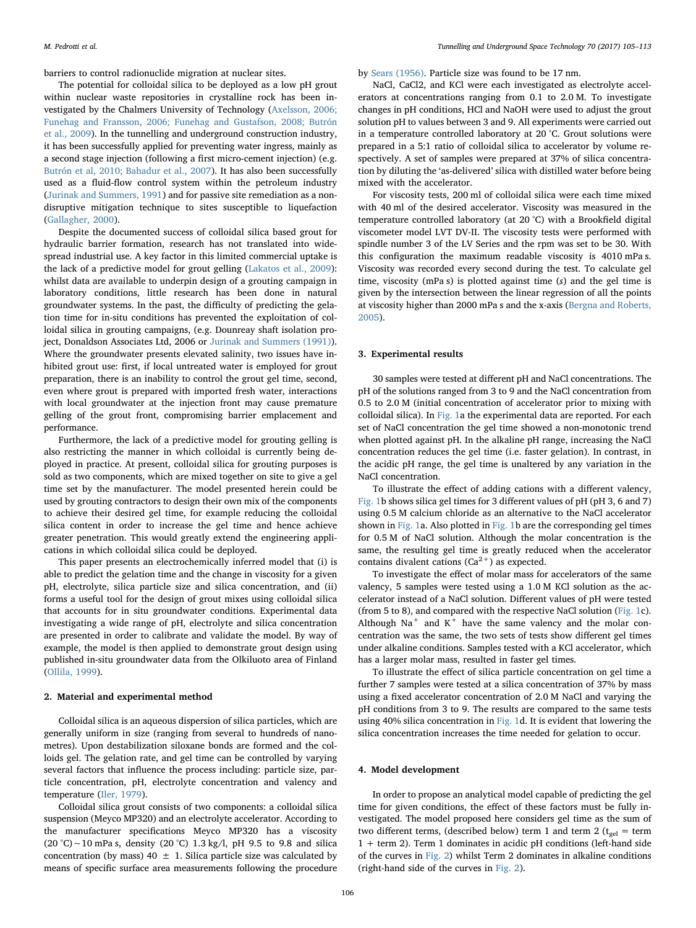barriers to control radionuclide migration at nuclear sites.

The potential for colloidal silica to be deployed as a low pH grout within nuclear waste repositories in crystalline rock has been investigated by the Chalmers University of Technology ([Axelsson, 2006;](#page-7-4) [Funehag and Fransson, 2006; Funehag and Gustafson, 2008; Butrón](#page-7-4) [et al., 2009\)](#page-7-4). In the tunnelling and underground construction industry, it has been successfully applied for preventing water ingress, mainly as a second stage injection (following a first micro-cement injection) (e.g. [Butrón et al, 2010; Bahadur et al., 2007\)](#page-7-0). It has also been successfully used as a fluid-flow control system within the petroleum industry ([Jurinak and Summers, 1991](#page-7-5)) and for passive site remediation as a nondisruptive mitigation technique to sites susceptible to liquefaction ([Gallagher, 2000\)](#page-7-6).

Despite the documented success of colloidal silica based grout for hydraulic barrier formation, research has not translated into widespread industrial use. A key factor in this limited commercial uptake is the lack of a predictive model for grout gelling ([Lakatos et al., 2009](#page-8-7)): whilst data are available to underpin design of a grouting campaign in laboratory conditions, little research has been done in natural groundwater systems. In the past, the difficulty of predicting the gelation time for in-situ conditions has prevented the exploitation of colloidal silica in grouting campaigns, (e.g. Dounreay shaft isolation project, Donaldson Associates Ltd, 2006 or [Jurinak and Summers \(1991\)](#page-7-5)). Where the groundwater presents elevated salinity, two issues have inhibited grout use: first, if local untreated water is employed for grout preparation, there is an inability to control the grout gel time, second, even where grout is prepared with imported fresh water, interactions with local groundwater at the injection front may cause premature gelling of the grout front, compromising barrier emplacement and performance.

Furthermore, the lack of a predictive model for grouting gelling is also restricting the manner in which colloidal is currently being deployed in practice. At present, colloidal silica for grouting purposes is sold as two components, which are mixed together on site to give a gel time set by the manufacturer. The model presented herein could be used by grouting contractors to design their own mix of the components to achieve their desired gel time, for example reducing the colloidal silica content in order to increase the gel time and hence achieve greater penetration. This would greatly extend the engineering applications in which colloidal silica could be deployed.

This paper presents an electrochemically inferred model that (i) is able to predict the gelation time and the change in viscosity for a given pH, electrolyte, silica particle size and silica concentration, and (ii) forms a useful tool for the design of grout mixes using colloidal silica that accounts for in situ groundwater conditions. Experimental data investigating a wide range of pH, electrolyte and silica concentration are presented in order to calibrate and validate the model. By way of example, the model is then applied to demonstrate grout design using published in-situ groundwater data from the Olkiluoto area of Finland ([Ollila, 1999\)](#page-8-8).

#### 2. Material and experimental method

Colloidal silica is an aqueous dispersion of silica particles, which are generally uniform in size (ranging from several to hundreds of nanometres). Upon destabilization siloxane bonds are formed and the colloids gel. The gelation rate, and gel time can be controlled by varying several factors that influence the process including: particle size, particle concentration, pH, electrolyte concentration and valency and temperature [\(Iler, 1979](#page-7-3)).

Colloidal silica grout consists of two components: a colloidal silica suspension (Meyco MP320) and an electrolyte accelerator. According to the manufacturer specifications Meyco MP320 has a viscosity (20 °C)∼10 mPa s, density (20 °C) 1.3 kg/l, pH 9.5 to 9.8 and silica concentration (by mass) 40  $\pm$  1. Silica particle size was calculated by means of specific surface area measurements following the procedure

by [Sears \(1956\).](#page-8-9) Particle size was found to be 17 nm.

NaCl, CaCl2, and KCl were each investigated as electrolyte accelerators at concentrations ranging from 0.1 to 2.0 M. To investigate changes in pH conditions, HCl and NaOH were used to adjust the grout solution pH to values between 3 and 9. All experiments were carried out in a temperature controlled laboratory at 20 °C. Grout solutions were prepared in a 5:1 ratio of colloidal silica to accelerator by volume respectively. A set of samples were prepared at 37% of silica concentration by diluting the 'as-delivered' silica with distilled water before being mixed with the accelerator.

For viscosity tests, 200 ml of colloidal silica were each time mixed with 40 ml of the desired accelerator. Viscosity was measured in the temperature controlled laboratory (at 20 °C) with a Brookfield digital viscometer model LVT DV-II. The viscosity tests were performed with spindle number 3 of the LV Series and the rpm was set to be 30. With this configuration the maximum readable viscosity is 4010 mPa s. Viscosity was recorded every second during the test. To calculate gel time, viscosity (mPa s) is plotted against time (s) and the gel time is given by the intersection between the linear regression of all the points at viscosity higher than 2000 mPa s and the x-axis ([Bergna and Roberts,](#page-7-7) [2005\)](#page-7-7).

#### 3. Experimental results

30 samples were tested at different pH and NaCl concentrations. The pH of the solutions ranged from 3 to 9 and the NaCl concentration from 0.5 to 2.0 M (initial concentration of accelerator prior to mixing with colloidal silica). In [Fig. 1a](#page-2-0) the experimental data are reported. For each set of NaCl concentration the gel time showed a non-monotonic trend when plotted against pH. In the alkaline pH range, increasing the NaCl concentration reduces the gel time (i.e. faster gelation). In contrast, in the acidic pH range, the gel time is unaltered by any variation in the NaCl concentration.

To illustrate the effect of adding cations with a different valency, [Fig. 1](#page-2-0)b shows silica gel times for 3 different values of pH (pH 3, 6 and 7) using 0.5 M calcium chloride as an alternative to the NaCl accelerator shown in [Fig. 1](#page-2-0)a. Also plotted in [Fig. 1](#page-2-0)b are the corresponding gel times for 0.5 M of NaCl solution. Although the molar concentration is the same, the resulting gel time is greatly reduced when the accelerator contains divalent cations  $(Ca^{2+})$  as expected.

To investigate the effect of molar mass for accelerators of the same valency, 5 samples were tested using a 1.0 M KCl solution as the accelerator instead of a NaCl solution. Different values of pH were tested (from 5 to 8), and compared with the respective NaCl solution [\(Fig. 1c](#page-2-0)). Although  $Na<sup>+</sup>$  and  $K<sup>+</sup>$  have the same valency and the molar concentration was the same, the two sets of tests show different gel times under alkaline conditions. Samples tested with a KCl accelerator, which has a larger molar mass, resulted in faster gel times.

To illustrate the effect of silica particle concentration on gel time a further 7 samples were tested at a silica concentration of 37% by mass using a fixed accelerator concentration of 2.0 M NaCl and varying the pH conditions from 3 to 9. The results are compared to the same tests using 40% silica concentration in [Fig. 1d](#page-2-0). It is evident that lowering the silica concentration increases the time needed for gelation to occur.

#### 4. Model development

In order to propose an analytical model capable of predicting the gel time for given conditions, the effect of these factors must be fully investigated. The model proposed here considers gel time as the sum of two different terms, (described below) term 1 and term 2 ( $t_{gel}$  = term 1 + term 2). Term 1 dominates in acidic pH conditions (left-hand side of the curves in [Fig. 2\)](#page-3-0) whilst Term 2 dominates in alkaline conditions (right-hand side of the curves in [Fig. 2\)](#page-3-0).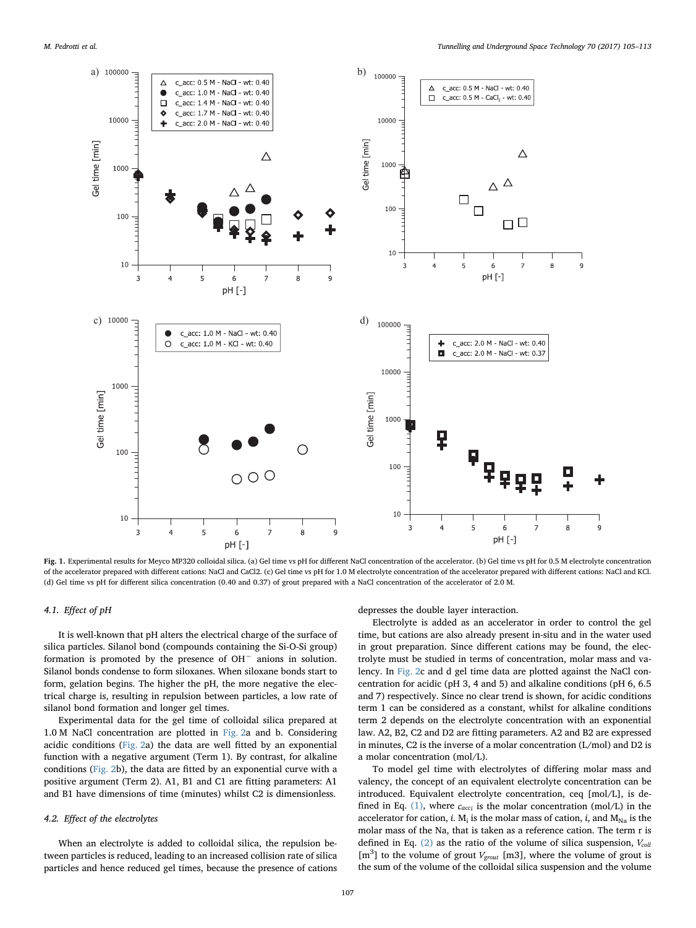<span id="page-2-0"></span>

Fig. 1. Experimental results for Meyco MP320 colloidal silica. (a) Gel time vs pH for different NaCl concentration of the accelerator. (b) Gel time vs pH for 0.5 M electrolyte concentration of the accelerator prepared with different cations: NaCl and CaCl2. (c) Gel time vs pH for 1.0 M electrolyte concentration of the accelerator prepared with different cations: NaCl and KCl. (d) Gel time vs pH for different silica concentration (0.40 and 0.37) of grout prepared with a NaCl concentration of the accelerator of 2.0 M.

## 4.1. Effect of pH

It is well-known that pH alters the electrical charge of the surface of silica particles. Silanol bond (compounds containing the Si-O-Si group) formation is promoted by the presence of OH<sup>−</sup> anions in solution. Silanol bonds condense to form siloxanes. When siloxane bonds start to form, gelation begins. The higher the pH, the more negative the electrical charge is, resulting in repulsion between particles, a low rate of silanol bond formation and longer gel times.

Experimental data for the gel time of colloidal silica prepared at 1.0 M NaCl concentration are plotted in [Fig. 2a](#page-3-0) and b. Considering acidic conditions ([Fig. 2](#page-3-0)a) the data are well fitted by an exponential function with a negative argument (Term 1). By contrast, for alkaline conditions ([Fig. 2](#page-3-0)b), the data are fitted by an exponential curve with a positive argument (Term 2). A1, B1 and C1 are fitting parameters: A1 and B1 have dimensions of time (minutes) whilst C2 is dimensionless.

#### 4.2. Effect of the electrolytes

When an electrolyte is added to colloidal silica, the repulsion between particles is reduced, leading to an increased collision rate of silica particles and hence reduced gel times, because the presence of cations depresses the double layer interaction.

Electrolyte is added as an accelerator in order to control the gel time, but cations are also already present in-situ and in the water used in grout preparation. Since different cations may be found, the electrolyte must be studied in terms of concentration, molar mass and valency. In [Fig. 2c](#page-3-0) and d gel time data are plotted against the NaCl concentration for acidic (pH 3, 4 and 5) and alkaline conditions (pH 6, 6.5 and 7) respectively. Since no clear trend is shown, for acidic conditions term 1 can be considered as a constant, whilst for alkaline conditions term 2 depends on the electrolyte concentration with an exponential law. A2, B2, C2 and D2 are fitting parameters. A2 and B2 are expressed in minutes, C2 is the inverse of a molar concentration (L/mol) and D2 is a molar concentration (mol/L).

To model gel time with electrolytes of differing molar mass and valency, the concept of an equivalent electrolyte concentration can be introduced. Equivalent electrolyte concentration, ceq [mol/L], is defined in Eq. [\(1\)](#page-4-0), where *cacci* is the molar concentration (mol/L) in the accelerator for cation, *i*.  $M_i$  is the molar mass of cation, *i*, and  $M_{Na}$  is the molar mass of the Na, that is taken as a reference cation. The term r is defined in Eq.  $(2)$  as the ratio of the volume of silica suspension,  $V_{coll}$ [m<sup>3</sup>] to the volume of grout *V<sub>grout</sub>* [m3], where the volume of grout is the sum of the volume of the colloidal silica suspension and the volume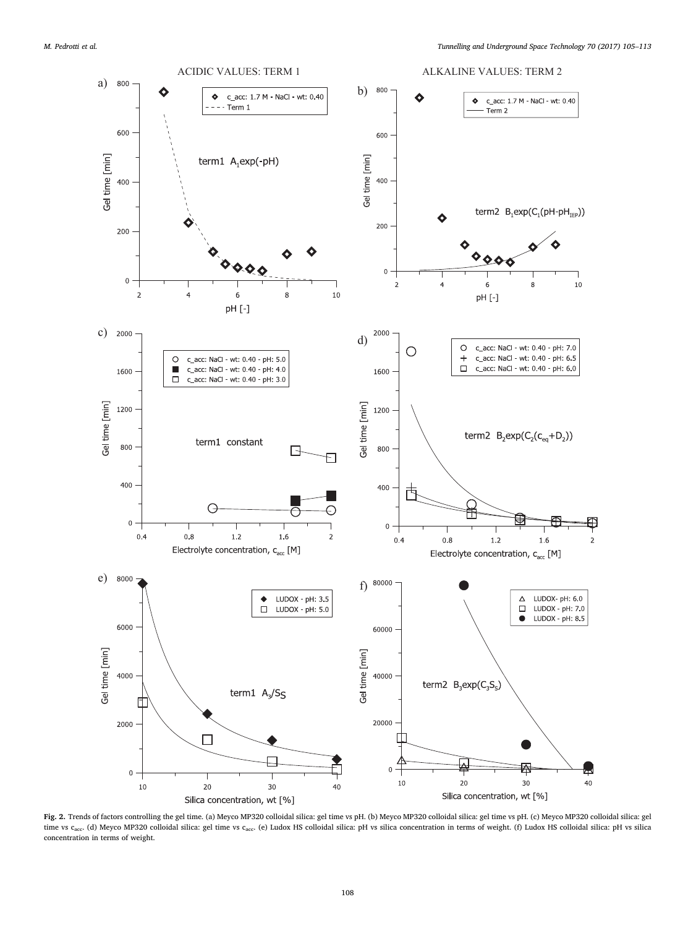<span id="page-3-0"></span>

Fig. 2. Trends of factors controlling the gel time. (a) Meyco MP320 colloidal silica: gel time vs pH. (b) Meyco MP320 colloidal silica: gel time vs pH. (c) Meyco MP320 colloidal silica: gel time vs c<sub>acc</sub>. (d) Meyco MP320 colloidal silica: gel time vs c<sub>acc</sub>. (e) Ludox HS colloidal silica: pH vs silica concentration in terms of weight. (f) Ludox HS colloidal silica: pH vs silica concentration in terms of weight.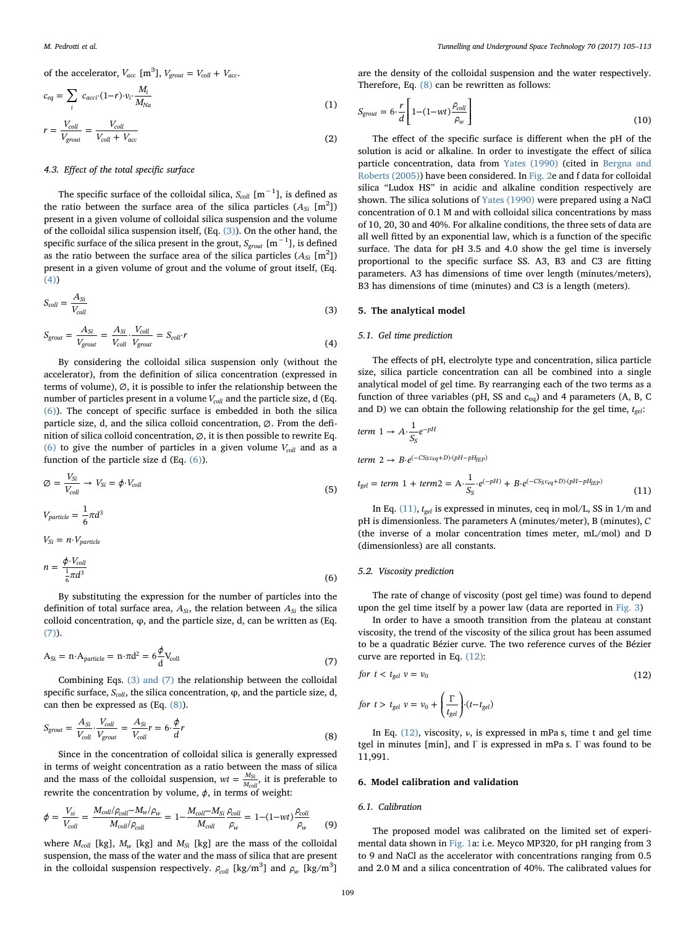<span id="page-4-0"></span>of the accelerator,  $V_{acc}$  [m<sup>3</sup>],  $V_{growth} = V_{coll} + V_{acc}$ .

$$
c_{eq} = \sum_{i} c_{acci} \cdot (1-r) \cdot v_i \cdot \frac{M_i}{M_{Na}}
$$
\n
$$
r = \frac{V_{coll}}{V_{coll}} = \frac{V_{coll}}{V_{Na}}
$$
\n(1)

<span id="page-4-1"></span>
$$
r = \frac{V_{coll}}{V_{growth}} = \frac{V_{coll}}{V_{coll} + V_{acc}}
$$
\n(2)

## 4.3. Effect of the total specific surface

The specific surface of the colloidal silica,  $S_{coll}$  [m<sup>-1</sup>], is defined as the ratio between the surface area of the silica particles  $(A_{Si}$  [m<sup>2</sup>]) present in a given volume of colloidal silica suspension and the volume of the colloidal silica suspension itself, (Eq. [\(3\)\)](#page-4-2). On the other hand, the specific surface of the silica present in the grout,  $S_{\emph{growth}}$  [m $^{-1}$ ], is defined as the ratio between the surface area of the silica particles  $(A_{Si}$   $[m^2])$ present in a given volume of grout and the volume of grout itself, (Eq. [\(4\)](#page-4-3))

<span id="page-4-2"></span>
$$
S_{coll} = \frac{A_{Si}}{V_{coll}}
$$
 (3)

<span id="page-4-3"></span>
$$
S_{growth} = \frac{A_{Si}}{V_{growth}} = \frac{A_{Si}}{V_{coll}} \cdot \frac{V_{coll}}{V_{growth}} = S_{coll} \cdot r
$$
\n(4)

By considering the colloidal silica suspension only (without the accelerator), from the definition of silica concentration (expressed in terms of volume),  $\varnothing$ , it is possible to infer the relationship between the number of particles present in a volume  $V_{coll}$  and the particle size, d (Eq. [\(6\)](#page-4-4)). The concept of specific surface is embedded in both the silica particle size, d, and the silica colloid concentration, ∅. From the definition of silica colloid concentration, ∅, it is then possible to rewrite Eq. [\(6\)](#page-4-4) to give the number of particles in a given volume  $V_{coll}$  and as a function of the particle size d (Eq. [\(6\)\)](#page-4-4).

$$
\varnothing = \frac{V_{Si}}{V_{coll}} \to V_{Si} = \phi \cdot V_{coll}
$$
\n(5)

 $V_{particle} = \frac{1}{6}\pi d^3$ 

<span id="page-4-4"></span>
$$
V_{Si} = n \cdot V_{particle}
$$
  

$$
n = \frac{\phi \cdot V_{coll}}{\frac{1}{6}\pi d^3}
$$
 (6)

By substituting the expression for the number of particles into the definition of total surface area,  $A_{Si}$ , the relation between  $A_{Si}$  the silica colloid concentration, φ, and the particle size, d, can be written as (Eq. [\(7\)](#page-4-5)).

<span id="page-4-5"></span>
$$
A_{Si} = n \cdot A_{particle} = n \cdot \pi d^2 = 6 \frac{\phi}{d} V_{coll}
$$
\n(7)

<span id="page-4-6"></span>Combining Eqs. [\(3\) and \(7\)](#page-4-2) the relationship between the colloidal specific surface, *Scoll*, the silica concentration, φ, and the particle size, d, can then be expressed as (Eq. [\(8\)](#page-4-6)).

$$
S_{growth} = \frac{A_{Si}}{V_{coll}} \cdot \frac{V_{coll}}{V_{growth}} = \frac{A_{Si}}{V_{coll}} r = 6 \cdot \frac{\phi}{d} r
$$
\n(8)

Since in the concentration of colloidal silica is generally expressed in terms of weight concentration as a ratio between the mass of silica and the mass of the colloidal suspension,  $wt = \frac{M_{\text{Si}}}{M_{\text{coll}}}$ , it is preferable to rewrite the concentration by volume,  $\phi$ , in terms of weight:

<span id="page-4-9"></span>
$$
\phi = \frac{V_{si}}{V_{coll}} = \frac{M_{coll}/\rho_{coll} - M_w/\rho_w}{M_{coll}/\rho_{coll}} = 1 - \frac{M_{coll} - M_{Si}}{M_{coll}} \frac{\rho_{coll}}{\rho_w} = 1 - (1 - wt) \frac{\rho_{coll}}{\rho_w}
$$
(9)

where  $M_{coll}$  [kg],  $M_w$  [kg] and  $M_{Si}$  [kg] are the mass of the colloidal suspension, the mass of the water and the mass of silica that are present in the colloidal suspension respectively.  $\rho_{coll}$  [kg/m<sup>3</sup>] and  $\rho_{w}$  [kg/m<sup>3</sup>]

are the density of the colloidal suspension and the water respectively. Therefore, Eq. [\(8\)](#page-4-6) can be rewritten as follows:

$$
S_{growth} = 6 \cdot \frac{r}{d} \left[ 1 - (1 - wt) \frac{\rho_{coll}}{\rho_w} \right]
$$
\n(10)

The effect of the specific surface is different when the pH of the solution is acid or alkaline. In order to investigate the effect of silica particle concentration, data from [Yates \(1990\)](#page-8-10) (cited in [Bergna and](#page-7-7) [Roberts \(2005\)](#page-7-7)) have been considered. In [Fig. 2e](#page-3-0) and f data for colloidal silica "Ludox HS" in acidic and alkaline condition respectively are shown. The silica solutions of [Yates \(1990\)](#page-8-10) were prepared using a NaCl concentration of 0.1 M and with colloidal silica concentrations by mass of 10, 20, 30 and 40%. For alkaline conditions, the three sets of data are all well fitted by an exponential law, which is a function of the specific surface. The data for pH 3.5 and 4.0 show the gel time is inversely proportional to the specific surface SS. A3, B3 and C3 are fitting parameters. A3 has dimensions of time over length (minutes/meters), B3 has dimensions of time (minutes) and C3 is a length (meters).

## 5. The analytical model

## 5.1. Gel time prediction

The effects of pH, electrolyte type and concentration, silica particle size, silica particle concentration can all be combined into a single analytical model of gel time. By rearranging each of the two terms as a function of three variables (pH, SS and  $c_{eq}$ ) and 4 parameters (A, B, C and D) we can obtain the following relationship for the gel time,  $t_{gel}$ :

$$
term\ 1 \to A \cdot \frac{1}{S_S} e^{-pH}
$$

 $term\ 2 \rightarrow B \cdot e^{(-CS_S c_{eq}+D) \cdot (pH-pH_{IEP})}$ 

<span id="page-4-7"></span>
$$
t_{gel} = term \ 1 + term2 = A \cdot \frac{1}{S_S} \cdot e^{(-pH)} + B \cdot e^{(-CS_S c_{eq} + D) \cdot (pH - pH_{IEP})}
$$
\n(11)

In Eq.  $(11)$ ,  $t_{gel}$  is expressed in minutes, ceq in mol/L, SS in  $1/m$  and pH is dimensionless. The parameters A (minutes/meter), B (minutes), *C* (the inverse of a molar concentration times meter, mL/mol) and D (dimensionless) are all constants.

#### 5.2. Viscosity prediction

The rate of change of viscosity (post gel time) was found to depend upon the gel time itself by a power law (data are reported in [Fig. 3\)](#page-5-0)

In order to have a smooth transition from the plateau at constant viscosity, the trend of the viscosity of the silica grout has been assumed to be a quadratic Bézier curve. The two reference curves of the Bézier curve are reported in Eq. [\(12\):](#page-4-8)

<span id="page-4-8"></span>
$$
for \ t < t_{gel} \ v = v_0 \tag{12}
$$

for 
$$
t > t_{gel} v = v_0 + \left(\frac{\Gamma}{t_{gel}}\right) \cdot (t - t_{gel})
$$

In Eq.  $(12)$ , viscosity,  $\nu$ , is expressed in mPa s, time t and gel time tgel in minutes [min], and Γ is expressed in mPa s. Γ was found to be 11,991.

#### 6. Model calibration and validation

#### 6.1. Calibration

The proposed model was calibrated on the limited set of experimental data shown in [Fig. 1](#page-2-0)a: i.e. Meyco MP320, for pH ranging from 3 to 9 and NaCl as the accelerator with concentrations ranging from 0.5 and 2.0 M and a silica concentration of 40%. The calibrated values for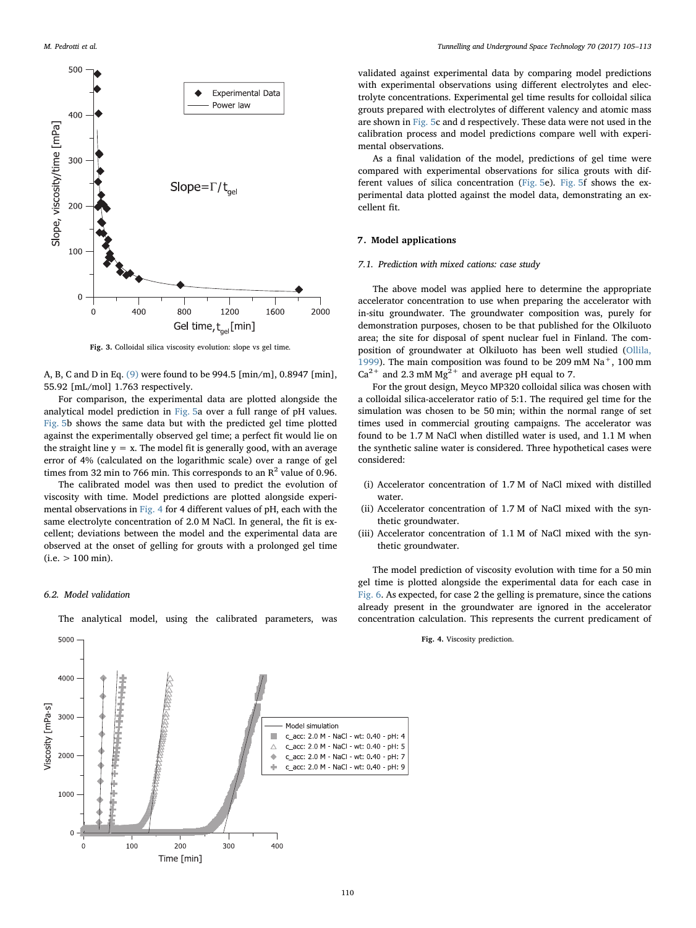<span id="page-5-0"></span>

Fig. 3. Colloidal silica viscosity evolution: slope vs gel time.

A, B, C and D in Eq. [\(9\)](#page-4-9) were found to be 994.5 [min/m], 0.8947 [min], 55.92 [mL/mol] 1.763 respectively.

For comparison, the experimental data are plotted alongside the analytical model prediction in [Fig. 5](#page-6-0)a over a full range of pH values. [Fig. 5](#page-6-0)b shows the same data but with the predicted gel time plotted against the experimentally observed gel time; a perfect fit would lie on the straight line  $y = x$ . The model fit is generally good, with an average error of 4% (calculated on the logarithmic scale) over a range of gel times from 32 min to 766 min. This corresponds to an  $\mathbb{R}^2$  value of 0.96.

The calibrated model was then used to predict the evolution of viscosity with time. Model predictions are plotted alongside experimental observations in [Fig. 4](#page-5-1) for 4 different values of pH, each with the same electrolyte concentration of 2.0 M NaCl. In general, the fit is excellent; deviations between the model and the experimental data are observed at the onset of gelling for grouts with a prolonged gel time  $(i.e. > 100$  min).

## 6.2. Model validation

The analytical model, using the calibrated parameters, was

<span id="page-5-1"></span>

validated against experimental data by comparing model predictions with experimental observations using different electrolytes and electrolyte concentrations. Experimental gel time results for colloidal silica grouts prepared with electrolytes of different valency and atomic mass are shown in [Fig. 5](#page-6-0)c and d respectively. These data were not used in the calibration process and model predictions compare well with experimental observations.

As a final validation of the model, predictions of gel time were compared with experimental observations for silica grouts with different values of silica concentration ([Fig. 5e](#page-6-0)). [Fig. 5](#page-6-0)f shows the experimental data plotted against the model data, demonstrating an excellent fit.

#### 7. Model applications

#### 7.1. Prediction with mixed cations: case study

The above model was applied here to determine the appropriate accelerator concentration to use when preparing the accelerator with in-situ groundwater. The groundwater composition was, purely for demonstration purposes, chosen to be that published for the Olkiluoto area; the site for disposal of spent nuclear fuel in Finland. The composition of groundwater at Olkiluoto has been well studied [\(Ollila,](#page-8-8) [1999\)](#page-8-8). The main composition was found to be 209 mM  $\mathrm{Na}^+$ , 100 mm  $Ca^{2+}$  and 2.3 mM Mg<sup>2+</sup> and average pH equal to 7.

For the grout design, Meyco MP320 colloidal silica was chosen with a colloidal silica-accelerator ratio of 5:1. The required gel time for the simulation was chosen to be 50 min; within the normal range of set times used in commercial grouting campaigns. The accelerator was found to be 1.7 M NaCl when distilled water is used, and 1.1 M when the synthetic saline water is considered. Three hypothetical cases were considered:

- (i) Accelerator concentration of 1.7 M of NaCl mixed with distilled water.
- (ii) Accelerator concentration of 1.7 M of NaCl mixed with the synthetic groundwater.
- (iii) Accelerator concentration of 1.1 M of NaCl mixed with the synthetic groundwater.

The model prediction of viscosity evolution with time for a 50 min gel time is plotted alongside the experimental data for each case in [Fig. 6](#page-7-8). As expected, for case 2 the gelling is premature, since the cations already present in the groundwater are ignored in the accelerator concentration calculation. This represents the current predicament of

#### Fig. 4. Viscosity prediction.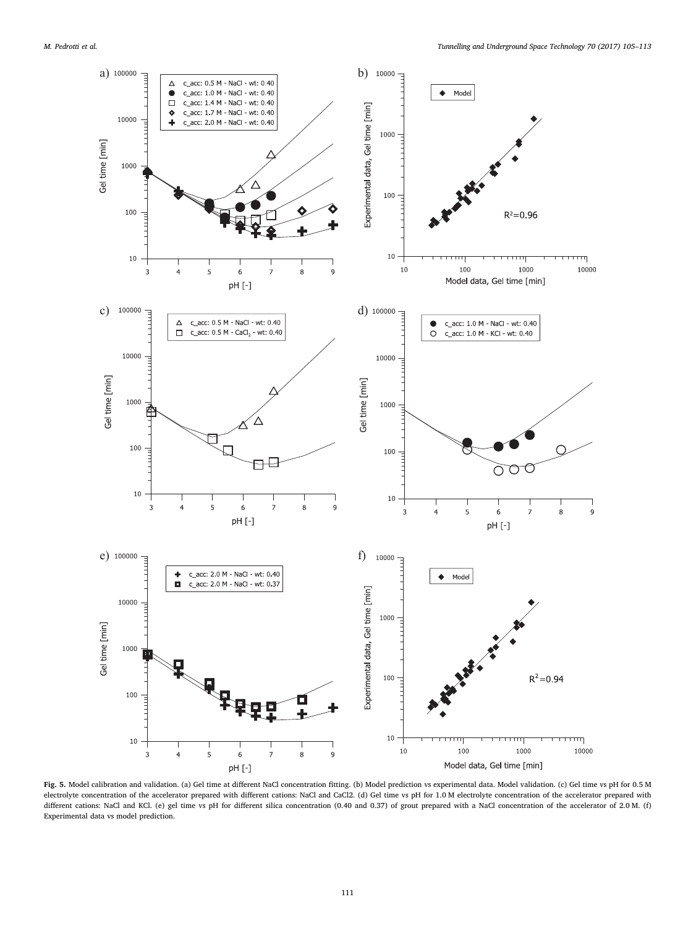<span id="page-6-0"></span>

Fig. 5. Model calibration and validation. (a) Gel time at different NaCl concentration fitting. (b) Model prediction vs experimental data. Model validation. (c) Gel time vs pH for 0.5 M electrolyte concentration of the accelerator prepared with different cations: NaCl and CaCl2. (d) Gel time vs pH for 1.0 M electrolyte concentration of the accelerator prepared with different cations: NaCl and KCl. (e) gel time vs pH for different silica concentration (0.40 and 0.37) of grout prepared with a NaCl concentration of the accelerator of 2.0 M. (f) Experimental data vs model prediction.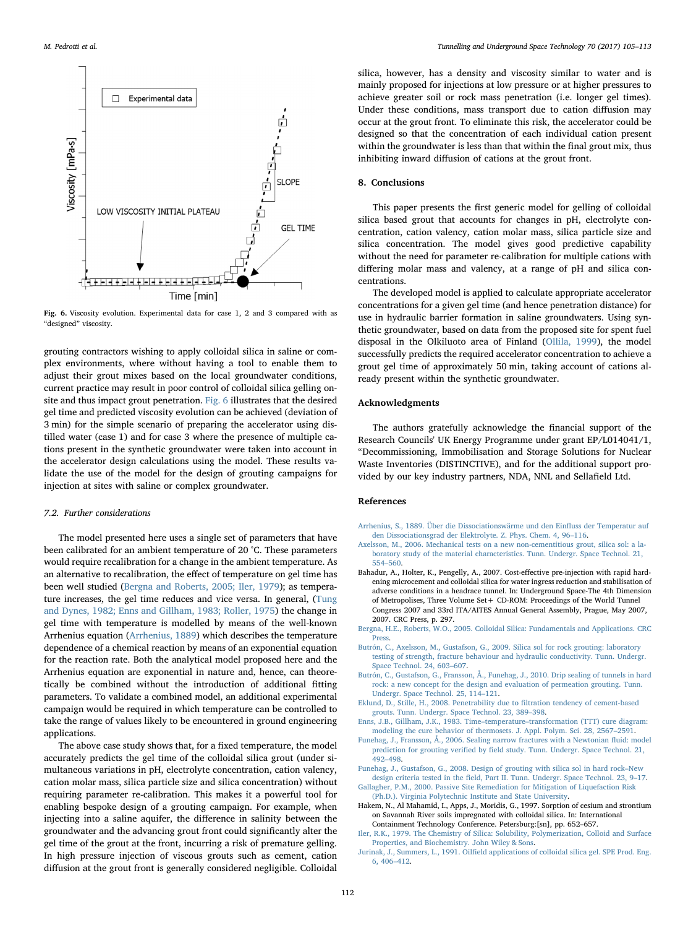<span id="page-7-8"></span>

Fig. 6. Viscosity evolution. Experimental data for case 1, 2 and 3 compared with as "designed" viscosity.

grouting contractors wishing to apply colloidal silica in saline or complex environments, where without having a tool to enable them to adjust their grout mixes based on the local groundwater conditions, current practice may result in poor control of colloidal silica gelling onsite and thus impact grout penetration. [Fig. 6](#page-7-8) illustrates that the desired gel time and predicted viscosity evolution can be achieved (deviation of 3 min) for the simple scenario of preparing the accelerator using distilled water (case 1) and for case 3 where the presence of multiple cations present in the synthetic groundwater were taken into account in the accelerator design calculations using the model. These results validate the use of the model for the design of grouting campaigns for injection at sites with saline or complex groundwater.

#### 7.2. Further considerations

The model presented here uses a single set of parameters that have been calibrated for an ambient temperature of 20 °C. These parameters would require recalibration for a change in the ambient temperature. As an alternative to recalibration, the effect of temperature on gel time has been well studied [\(Bergna and Roberts, 2005; Iler, 1979](#page-7-7)); as temperature increases, the gel time reduces and vice versa. In general, ([Tung](#page-8-11) [and Dynes, 1982; Enns and Gillham, 1983; Roller, 1975](#page-8-11)) the change in gel time with temperature is modelled by means of the well-known Arrhenius equation ([Arrhenius, 1889](#page-7-9)) which describes the temperature dependence of a chemical reaction by means of an exponential equation for the reaction rate. Both the analytical model proposed here and the Arrhenius equation are exponential in nature and, hence, can theoretically be combined without the introduction of additional fitting parameters. To validate a combined model, an additional experimental campaign would be required in which temperature can be controlled to take the range of values likely to be encountered in ground engineering applications.

The above case study shows that, for a fixed temperature, the model accurately predicts the gel time of the colloidal silica grout (under simultaneous variations in pH, electrolyte concentration, cation valency, cation molar mass, silica particle size and silica concentration) without requiring parameter re-calibration. This makes it a powerful tool for enabling bespoke design of a grouting campaign. For example, when injecting into a saline aquifer, the difference in salinity between the groundwater and the advancing grout front could significantly alter the gel time of the grout at the front, incurring a risk of premature gelling. In high pressure injection of viscous grouts such as cement, cation diffusion at the grout front is generally considered negligible. Colloidal silica, however, has a density and viscosity similar to water and is mainly proposed for injections at low pressure or at higher pressures to achieve greater soil or rock mass penetration (i.e. longer gel times). Under these conditions, mass transport due to cation diffusion may occur at the grout front. To eliminate this risk, the accelerator could be designed so that the concentration of each individual cation present within the groundwater is less than that within the final grout mix, thus inhibiting inward diffusion of cations at the grout front.

## 8. Conclusions

This paper presents the first generic model for gelling of colloidal silica based grout that accounts for changes in pH, electrolyte concentration, cation valency, cation molar mass, silica particle size and silica concentration. The model gives good predictive capability without the need for parameter re-calibration for multiple cations with differing molar mass and valency, at a range of pH and silica concentrations.

The developed model is applied to calculate appropriate accelerator concentrations for a given gel time (and hence penetration distance) for use in hydraulic barrier formation in saline groundwaters. Using synthetic groundwater, based on data from the proposed site for spent fuel disposal in the Olkiluoto area of Finland [\(Ollila, 1999](#page-8-8)), the model successfully predicts the required accelerator concentration to achieve a grout gel time of approximately 50 min, taking account of cations already present within the synthetic groundwater.

#### Acknowledgments

The authors gratefully acknowledge the financial support of the Research Councils' UK Energy Programme under grant EP/L014041/1, "Decommissioning, Immobilisation and Storage Solutions for Nuclear Waste Inventories (DISTINCTIVE), and for the additional support provided by our key industry partners, NDA, NNL and Sellafield Ltd.

## References

- <span id="page-7-9"></span>[Arrhenius, S., 1889. Über die Dissociationswärme und den Ein](http://refhub.elsevier.com/S0886-7798(15)30339-4/h0005)fluss der Temperatur auf [den Dissociationsgrad der Elektrolyte. Z. Phys. Chem. 4, 96](http://refhub.elsevier.com/S0886-7798(15)30339-4/h0005)–116.
- <span id="page-7-4"></span>[Axelsson, M., 2006. Mechanical tests on a new non-cementitious grout, silica sol: a la](http://refhub.elsevier.com/S0886-7798(15)30339-4/h0010)[boratory study of the material characteristics. Tunn. Undergr. Space Technol. 21,](http://refhub.elsevier.com/S0886-7798(15)30339-4/h0010) 554–[560](http://refhub.elsevier.com/S0886-7798(15)30339-4/h0010).
- <span id="page-7-1"></span>Bahadur, A., Holter, K., Pengelly, A., 2007. Cost-effective pre-injection with rapid hardening microcement and colloidal silica for water ingress reduction and stabilisation of adverse conditions in a headrace tunnel. In: Underground Space-The 4th Dimension of Metropolises, Three Volume Set+ CD-ROM: Proceedings of the World Tunnel Congress 2007 and 33rd ITA/AITES Annual General Assembly, Prague, May 2007, 2007. CRC Press, p. 297.
- <span id="page-7-7"></span>[Bergna, H.E., Roberts, W.O., 2005. Colloidal Silica: Fundamentals and Applications. CRC](http://refhub.elsevier.com/S0886-7798(15)30339-4/h0020) [Press.](http://refhub.elsevier.com/S0886-7798(15)30339-4/h0020)
- [Butrón, C., Axelsson, M., Gustafson, G., 2009. Silica sol for rock grouting: laboratory](http://refhub.elsevier.com/S0886-7798(15)30339-4/h0025) [testing of strength, fracture behaviour and hydraulic conductivity. Tunn. Undergr.](http://refhub.elsevier.com/S0886-7798(15)30339-4/h0025) [Space Technol. 24, 603](http://refhub.elsevier.com/S0886-7798(15)30339-4/h0025)–607.
- <span id="page-7-0"></span>[Butrón, C., Gustafson, G., Fransson, Å., Funehag, J., 2010. Drip sealing of tunnels in hard](http://refhub.elsevier.com/S0886-7798(15)30339-4/h0030) [rock: a new concept for the design and evaluation of permeation grouting. Tunn.](http://refhub.elsevier.com/S0886-7798(15)30339-4/h0030) [Undergr. Space Technol. 25, 114](http://refhub.elsevier.com/S0886-7798(15)30339-4/h0030)–121.
- <span id="page-7-2"></span>[Eklund, D., Stille, H., 2008. Penetrability due to](http://refhub.elsevier.com/S0886-7798(15)30339-4/h0035) filtration tendency of cement-based [grouts. Tunn. Undergr. Space Technol. 23, 389](http://refhub.elsevier.com/S0886-7798(15)30339-4/h0035)–398.
- [Enns, J.B., Gillham, J.K., 1983. Time](http://refhub.elsevier.com/S0886-7798(15)30339-4/h0040)–temperature–transformation (TTT) cure diagram: [modeling the cure behavior of thermosets. J. Appl. Polym. Sci. 28, 2567](http://refhub.elsevier.com/S0886-7798(15)30339-4/h0040)–2591.
- [Funehag, J., Fransson, Å., 2006. Sealing narrow fractures with a Newtonian](http://refhub.elsevier.com/S0886-7798(15)30339-4/h0045) fluid: model prediction for grouting verified by fi[eld study. Tunn. Undergr. Space Technol. 21,](http://refhub.elsevier.com/S0886-7798(15)30339-4/h0045) 492–[498](http://refhub.elsevier.com/S0886-7798(15)30339-4/h0045).
- [Funehag, J., Gustafson, G., 2008. Design of grouting with silica sol in hard rock](http://refhub.elsevier.com/S0886-7798(15)30339-4/h0050)–New design criteria tested in the fi[eld, Part II. Tunn. Undergr. Space Technol. 23, 9](http://refhub.elsevier.com/S0886-7798(15)30339-4/h0050)–17. [Gallagher, P.M., 2000. Passive Site Remediation for Mitigation of Liquefaction Risk](http://refhub.elsevier.com/S0886-7798(15)30339-4/h0055)
- <span id="page-7-6"></span>[\(Ph.D.\). Virginia Polytechnic Institute and State University.](http://refhub.elsevier.com/S0886-7798(15)30339-4/h0055)
- Hakem, N., Al Mahamid, I., Apps, J., Moridis, G., 1997. Sorption of cesium and strontium on Savannah River soils impregnated with colloidal silica. In: International Containment Technology Conference. Petersburg:[sn], pp. 652–657.
- <span id="page-7-3"></span>[Iler, R.K., 1979. The Chemistry of Silica: Solubility, Polymerization, Colloid and Surface](http://refhub.elsevier.com/S0886-7798(15)30339-4/h0065) [Properties, and Biochemistry. John Wiley & Sons.](http://refhub.elsevier.com/S0886-7798(15)30339-4/h0065)
- <span id="page-7-5"></span>Jurinak, J., Summers, L., 1991. Oilfi[eld applications of colloidal silica gel. SPE Prod. Eng.](http://refhub.elsevier.com/S0886-7798(15)30339-4/h0070) [6, 406](http://refhub.elsevier.com/S0886-7798(15)30339-4/h0070)–412.